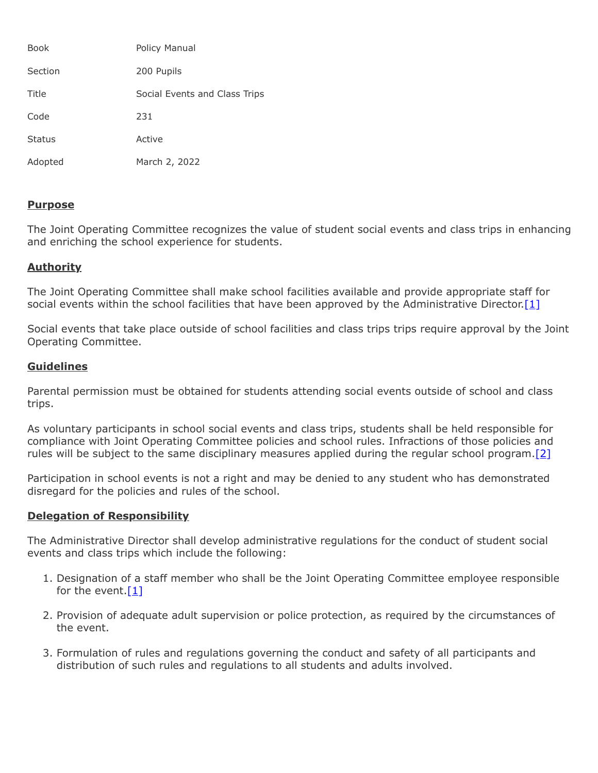| <b>Book</b>   | Policy Manual                 |
|---------------|-------------------------------|
| Section       | 200 Pupils                    |
| Title         | Social Events and Class Trips |
| Code          | 231                           |
| <b>Status</b> | Active                        |
| Adopted       | March 2, 2022                 |

## **Purpose**

The Joint Operating Committee recognizes the value of student social events and class trips in enhancing and enriching the school experience for students.

## **Authority**

The Joint Operating Committee shall make school facilities available and provide appropriate staff for social events within the school facilities that have been approved by the Administrative Director. [1]

Social events that take place outside of school facilities and class trips trips require approval by the Joint Operating Committee.

## **Guidelines**

Parental permission must be obtained for students attending social events outside of school and class trips.

As voluntary participants in school social events and class trips, students shall be held responsible for compliance with Joint Operating Committee policies and school rules. Infractions of those policies and rules will be subject to the same disciplinary measures applied during the regular school program. [2]

Participation in school events is not a right and may be denied to any student who has demonstrated disregard for the policies and rules of the school.

## **Delegation of Responsibility**

The Administrative Director shall develop administrative regulations for the conduct of student social events and class trips which include the following:

- 1. Designation of a staff member who shall be the Joint Operating Committee employee responsible for the event. $[1]$
- 2. Provision of adequate adult supervision or police protection, as required by the circumstances of the event.
- 3. Formulation of rules and regulations governing the conduct and safety of all participants and distribution of such rules and regulations to all students and adults involved.